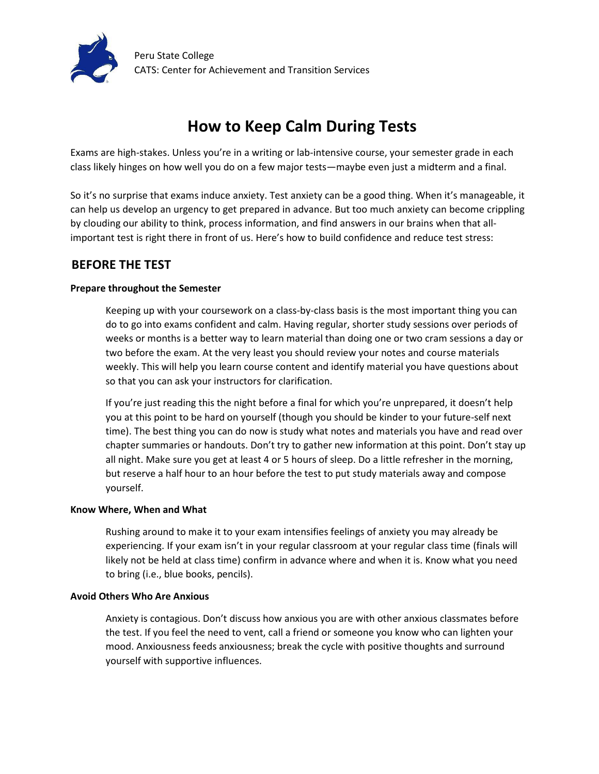

# **How to Keep Calm During Tests**

Exams are high-stakes. Unless you're in a writing or lab-intensive course, your semester grade in each class likely hinges on how well you do on a few major tests—maybe even just a midterm and a final.

So it's no surprise that exams induce anxiety. Test anxiety can be a good thing. When it's manageable, it can help us develop an urgency to get prepared in advance. But too much anxiety can become crippling by clouding our ability to think, process information, and find answers in our brains when that allimportant test is right there in front of us. Here's how to build confidence and reduce test stress:

## **BEFORE THE TEST**

### **Prepare throughout the Semester**

Keeping up with your coursework on a class-by-class basis is the most important thing you can do to go into exams confident and calm. Having regular, shorter study sessions over periods of weeks or months is a better way to learn material than doing one or two cram sessions a day or two before the exam. At the very least you should review your notes and course materials weekly. This will help you learn course content and identify material you have questions about so that you can ask your instructors for clarification.

If you're just reading this the night before a final for which you're unprepared, it doesn't help you at this point to be hard on yourself (though you should be kinder to your future-self next time). The best thing you can do now is study what notes and materials you have and read over chapter summaries or handouts. Don't try to gather new information at this point. Don't stay up all night. Make sure you get at least 4 or 5 hours of sleep. Do a little refresher in the morning, but reserve a half hour to an hour before the test to put study materials away and compose yourself.

#### **Know Where, When and What**

Rushing around to make it to your exam intensifies feelings of anxiety you may already be experiencing. If your exam isn't in your regular classroom at your regular class time (finals will likely not be held at class time) confirm in advance where and when it is. Know what you need to bring (i.e., blue books, pencils).

#### **Avoid Others Who Are Anxious**

Anxiety is contagious. Don't discuss how anxious you are with other anxious classmates before the test. If you feel the need to vent, call a friend or someone you know who can lighten your mood. Anxiousness feeds anxiousness; break the cycle with positive thoughts and surround yourself with supportive influences.